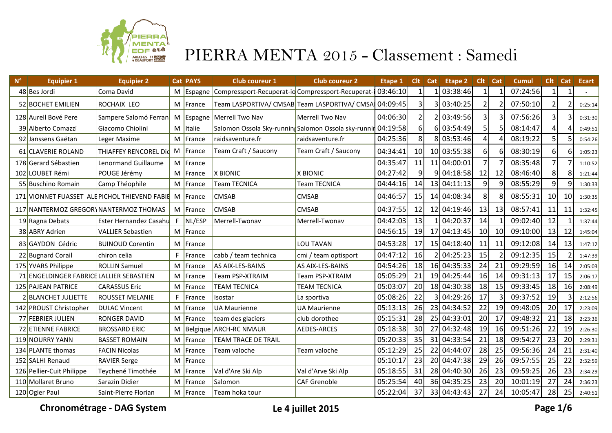

| $\mathsf{N}^\circ$ | <b>Equipier 1</b>                        | <b>Equipier 2</b>                              |     | <b>Cat PAYS</b> | <b>Club coureur 1</b>                               | <b>Club coureur 2</b> | Etape 1  | Clt             | Cat           | Etape 2     | $Clt$ $Cat$     |                 | Cumul    | Clt             | Cat | <b>Ecart</b> |
|--------------------|------------------------------------------|------------------------------------------------|-----|-----------------|-----------------------------------------------------|-----------------------|----------|-----------------|---------------|-------------|-----------------|-----------------|----------|-----------------|-----|--------------|
|                    | 48 Bes Jordi                             | Coma David                                     | M   | Espagne         | Compressport-Recuperat-io Compressport-Recuperat-i  |                       | 03:46:10 |                 |               | 03:38:46    | $\mathbf 1$     |                 | 07:24:56 | 1               |     |              |
|                    | 52 BOCHET EMILIEN                        | <b>ROCHAIX LEO</b>                             | М   | France          | Team LASPORTIVA/ CMSAB Team LASPORTIVA/ CMSA        |                       | 04:09:45 | 3               |               | 03:40:25    | 2 <sub>1</sub>  |                 | 07:50:10 | 2               |     | 0:25:14      |
|                    | 128 Aurell Bové Pere                     | Sampere Salomó Ferran   M                      |     |                 | Espagne Merrell Two Nav                             | Merrell Two Nav       | 04:06:30 | 2               |               | 03:49:56    | $\overline{3}$  |                 | 07:56:26 | 31              |     | 0:31:30      |
|                    | 39 Alberto Comazzi                       | Giacomo Chiolini                               | M   | Italie          | Salomon Ossola Sky-running Salomon Ossola sky-runni |                       | 04:19:58 | 6 <sup>1</sup>  |               | 6 03:54:49  | 5 <sup>1</sup>  |                 | 08:14:47 |                 |     | 0:49:51      |
|                    | 92 Janssens Gaëtan                       | Leger Maxime                                   | M   | France          | raidsaventure.fr                                    | raidsaventure.fr      | 04:25:36 | 8               |               | 8 03:53:46  | $\vert 4 \vert$ |                 | 08:19:22 | 5               |     | 0:54:26      |
|                    | 61 CLAVERIE ROLAND                       | THIAFFEY RENCOREL Did M                        |     | France          | Team Craft / Saucony                                | Team Craft / Saucony  | 04:34:41 | 10              |               | 10 03:55:38 | $6 \mid$        | 6               | 08:30:19 | 61              |     | 1:05:23      |
|                    | 178 Gerard Sébastien                     | <b>Lenormand Guillaume</b>                     | M   | France          |                                                     |                       | 04:35:47 | 11              |               | 11 04:00:01 | 7 <sup>1</sup>  |                 | 08:35:48 |                 |     | 1:10:52      |
|                    | 102 LOUBET Rémi                          | POUGE Jérémy                                   | M   | France          | X BIONIC                                            | X BIONIC              | 04:27:42 | $\overline{9}$  |               | 9 04:18:58  | 12              | 12              | 08:46:40 | 8 <sup>1</sup>  | 8   | 1:21:44      |
|                    | 55 Buschino Romain                       | Camp Théophile                                 | M   | France          | <b>Team TECNICA</b>                                 | Team TECNICA          | 04:44:16 | 14              |               | 13 04:11:13 | 9 <sup>1</sup>  |                 | 08:55:29 | 9 <sub>l</sub>  |     | 1:30:33      |
|                    |                                          | 171 VIONNET FUASSET ALEPICHOL THIEVEND FABIE M |     | France          | <b>CMSAB</b>                                        | <b>CMSAB</b>          | 04:46:57 | 15              |               | 14 04:08:34 | 81              |                 | 08:55:31 | 10 <sup>1</sup> | 10  | 1:30:35      |
|                    |                                          | 117 NANTERMOZ GREGORYNANTERMOZ THOMAS          | M   | France          | <b>CMSAB</b>                                        | <b>CMSAB</b>          | 04:37:55 | 12              |               | 12 04:19:46 | 13              | 13              | 08:57:41 | 11              | 11  | 1:32:45      |
|                    | 19 Ragna Debats                          | <b>Ester Hernandez Casahu</b>                  | F.  | NL/ESP          | Merrell-Twonav                                      | Merrell-Twonav        | 04:42:03 | 13              |               | 1 04:20:37  | 14              |                 | 09:02:40 | 12              |     | 1:37:44      |
|                    | 38 ABRY Adrien                           | <b>VALLIER Sebastien</b>                       | M   | France          |                                                     |                       | 04:56:15 | 19              |               | 17 04:13:45 | 10 <sup>1</sup> | 10 <sup>1</sup> | 09:10:00 | 13              | 12  | 1:45:04      |
|                    | 83 GAYDON Cédric                         | <b>BUINOUD Corentin</b>                        | M   | France          |                                                     | <b>LOU TAVAN</b>      | 04:53:28 | -17             |               | 15 04:18:40 | 11              | -11             | 09:12:08 | 14              | -13 | 1:47:12      |
|                    | 22 Bugnard Corail                        | chiron celia                                   | F.  | France          | cabb / team technica                                | cmi / team optisport  | 04:47:12 | 16              | $\mathcal{P}$ | 04:25:23    | 15              |                 | 09:12:35 | 15              |     | 1:47:39      |
|                    | 175 YVARS Philippe                       | <b>ROLLIN Samuel</b>                           | M   | France          | AS AIX-LES-BAINS                                    | AS AIX-LES-BAINS      | 04:54:26 | 18              |               | 16 04:35:33 | 24              | 21              | 09:29:59 | 16              | 14  | 2:05:03      |
|                    | 71 ENGELDINGER FABRICE LALLIER SEBASTIEN |                                                | M   | France          | <b>Team PSP-XTRAIM</b>                              | Team PSP-XTRAIM       | 05:05:29 | 21              |               | 19 04:25:44 | 16              | 14              | 09:31:13 | 17              | 15  | 2:06:17      |
|                    | 125 PAJEAN PATRICE                       | <b>CARASSUS Eric</b>                           | M   | France          | <b>TEAM TECNICA</b>                                 | <b>TEAM TECNICA</b>   | 05:03:07 | 20              |               | 18 04:30:38 | 18              | 15              | 09:33:45 | 18              | 16  | 2:08:49      |
|                    | 2 BLANCHET JULIETTE                      | <b>ROUSSET MELANIE</b>                         | F   | France          | Isostar                                             | La sportiva           | 05:08:26 | 22              |               | 04:29:26    | 17              |                 | 09:37:52 | 19              |     | 2:12:56      |
|                    | 142 PROUST Christopher                   | <b>DULAC Vincent</b>                           | M   | France          | <b>UA Maurienne</b>                                 | <b>UA Maurienne</b>   | 05:13:13 | 26              |               | 23 04:34:52 | 22              | 19              | 09:48:05 | 20              | 17  | 2:23:09      |
|                    | 77 FEBRIER JULIEN                        | <b>RONGER DAVID</b>                            | M   | France          | team des glaciers                                   | club dorothee         | 05:15:31 | 28              |               | 25 04:33:01 | 20              | 17              | 09:48:32 | 21              | 18  | 2:23:36      |
|                    | <b>72 ETIENNE FABRICE</b>                | <b>BROSSARD ERIC</b>                           | M   |                 | Belgique ARCH-RC NMAUR                              | <b>AEDES-ARCES</b>    | 05:18:38 | 30 <sup>°</sup> |               | 27 04:32:48 | 19              | <b>16</b>       | 09:51:26 | 22              | 19  | 2:26:30      |
|                    | 119 NOURRY YANN                          | <b>BASSET ROMAIN</b>                           | М   | France          | <b>TEAM TRACE DE TRAIL</b>                          |                       | 05:20:33 | 35              |               | 31 04:33:54 | 21              | 18              | 09:54:27 | 23              | 20  | 2:29:31      |
|                    | 134 PLANTE thomas                        | <b>FACIN Nicolas</b>                           | M   | France          | Team valoche                                        | Team valoche          | 05:12:29 | 25              |               | 22 04:44:07 | 28              | 25              | 09:56:36 | 24              | 21  | 2:31:40      |
|                    | 152 SALHI Renaud                         | <b>RAVIER Serge</b>                            | M   | France          |                                                     |                       | 05:10:17 | 23              |               | 20 04:47:38 | 29              | 26              | 09:57:55 | 25              | 22  | 2:32:59      |
|                    | 126 Pellier-Cuit Philippe                | Teychené Timothée                              | M   | France          | Val d'Are Ski Alp                                   | Val d'Arve Ski Alp    | 05:18:55 | 31              |               | 28 04:40:30 | 26              | 23              | 09:59:25 | 26              | 23  | 2:34:29      |
|                    | 110 Mollaret Bruno                       | Sarazin Didier                                 | м   | France          | Salomon                                             | <b>CAF Grenoble</b>   | 05:25:54 | 40              |               | 36 04:35:25 | 23              | 20              | 10:01:19 | 27              | 24  | 2:36:23      |
|                    | 120 Ogier Paul                           | Saint-Pierre Florian                           | M l | France          | Team hoka tour                                      |                       | 05:22:04 | 37              |               | 33 04:43:43 | 27              | 24              | 10:05:47 | 28              | 25  | 2:40:51      |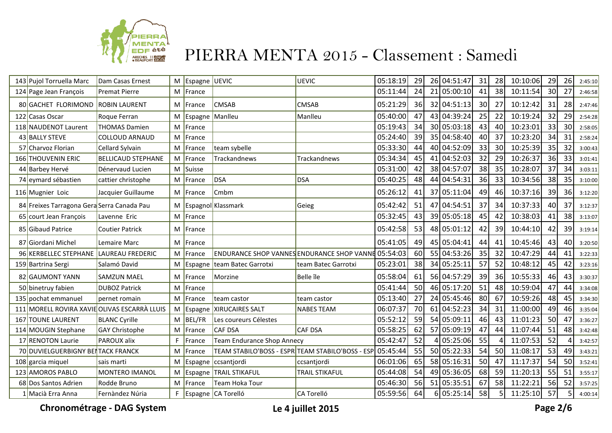

| 143 Pujol Torruella Marc                   | Dam Casas Ernest                             | M  | Espagne UEVIC     |                                                     | UEVIC                 | 05:18:19 | 29 |    | 26 04:51:47 | 31              | 28              | 10:10:06 | 29 | 26 | 2:45:10 |
|--------------------------------------------|----------------------------------------------|----|-------------------|-----------------------------------------------------|-----------------------|----------|----|----|-------------|-----------------|-----------------|----------|----|----|---------|
| 124 Page Jean François                     | <b>Premat Pierre</b>                         | M  | France            |                                                     |                       | 05:11:44 | 24 | 21 | 05:00:10    | 41              | 38              | 10:11:54 | 30 | 27 | 2:46:58 |
| 80 GACHET FLORIMOND                        | <b>ROBIN LAURENT</b>                         | M  | France            | <b>CMSAB</b>                                        | <b>CMSAB</b>          | 05:21:29 | 36 |    | 32 04:51:13 | 30              | 27              | 10:12:42 | 31 | 28 | 2:47:46 |
| 122 Casas Oscar                            | Roque Ferran                                 | M  | Espagne   Manlleu |                                                     | Manlleu               | 05:40:00 | 47 |    | 43 04:39:24 | 25              | 22              | 10:19:24 | 32 | 29 | 2:54:28 |
| 118 NAUDENOT Laurent                       | <b>THOMAS Damien</b>                         | M  | France            |                                                     |                       | 05:19:43 | 34 |    | 30 05:03:18 | 43              | 40 <sup>1</sup> | 10:23:01 | 33 | 30 | 2:58:05 |
| 43 BALLY STEVE                             | <b>COLLOUD ARNAUD</b>                        | M  | France            |                                                     |                       | 05:24:40 | 39 |    | 35 04:58:40 | 40 <sup>1</sup> | 37              | 10:23:20 | 34 | 31 | 2:58:24 |
| 57 Charvoz Florian                         | Cellard Sylvain                              | M  | France            | team sybelle                                        |                       | 05:33:30 | 44 |    | 40 04:52:09 | 33              | 30 <sup>1</sup> | 10:25:39 | 35 | 32 | 3:00:43 |
| 166 THOUVENIN ERIC                         | <b>BELLICAUD STEPHANE</b>                    | M  | France            | Trackandnews                                        | <b>Trackandnews</b>   | 05:34:34 | 45 | 41 | 04:52:03    | 32              | 29              | 10:26:37 | 36 | 33 | 3:01:41 |
| 44 Barbey Hervé                            | Dénervaud Lucien                             | M  | Suisse            |                                                     |                       | 05:31:00 | 42 |    | 38 04:57:07 | 38              | 35              | 10:28:07 | 37 | 34 | 3:03:11 |
| 74 eymard sébastien                        | cattier christophe                           | M  | France            | DSA                                                 | <b>DSA</b>            | 05:40:25 | 48 | 44 | 04:54:31    | 36              | 33              | 10:34:56 | 38 | 35 | 3:10:00 |
| 116 Mugnier Loic                           | Jacquier Guillaume                           | M  | France            | Cmbm                                                |                       | 05:26:12 | 41 |    | 37 05:11:04 | 49              | 46              | 10:37:16 | 39 | 36 | 3:12:20 |
| 84 Freixes Tarragona Gera Serra Canada Pau |                                              | M  |                   | Espagnol Klassmark                                  | Geieg                 | 05:42:42 | 51 |    | 47 04:54:51 | 37              | 34              | 10:37:33 | 40 | 37 | 3:12:37 |
| 65 court Jean François                     | Lavenne Eric                                 | M  | France            |                                                     |                       | 05:32:45 | 43 |    | 39 05:05:18 | 45              | 42              | 10:38:03 | 41 | 38 | 3:13:07 |
| 85 Gibaud Patrice                          | <b>Coutier Patrick</b>                       | M  | France            |                                                     |                       | 05:42:58 | 53 |    | 48 05:01:12 | 42              | 39              | 10:44:10 | 42 | 39 | 3:19:14 |
| 87 Giordani Michel                         | Lemaire Marc                                 | M  | France            |                                                     |                       | 05:41:05 | 49 |    | 45 05:04:41 | 44              | 41              | 10:45:46 | 43 | 40 | 3:20:50 |
| 96 KERBELLEC STEPHANE                      | LAUREAU FREDERIC                             | M  | France            | ENDURANCE SHOP VANNES ENDURANCE SHOP VANNE 05:54:03 |                       |          | 60 |    | 55 04:53:26 | 35              | 32              | 10:47:29 | 44 | 41 | 3:22:33 |
| 159 Bartrina Sergi                         | Salamó David                                 | M  | Espagne           | team Batec Garrotxi                                 | team Batec Garrotxi   | 05:23:01 | 38 |    | 34 05:25:11 | 57              | 52              | 10:48:12 | 45 | 42 | 3:23:16 |
| 82 GAUMONT YANN                            | <b>SAMZUN MAEL</b>                           | M  | France            | Morzine                                             | Belle île             | 05:58:04 | 61 |    | 56 04:57:29 | 39              | 36              | 10:55:33 | 46 | 43 | 3:30:37 |
| 50 binetruy fabien                         | <b>DUBOZ Patrick</b>                         | M  | France            |                                                     |                       | 05:41:44 | 50 |    | 46 05:17:20 | 51              | 48              | 10:59:04 | 47 | 44 | 3:34:08 |
| 135 pochat emmanuel                        | pernet romain                                | M  | France            | team castor                                         | team castor           | 05:13:40 | 27 |    | 24 05:45:46 | 80 <sup>1</sup> | 67              | 10:59:26 | 48 | 45 | 3:34:30 |
|                                            | 111 MORELL ROVIRA XAVIE OLIVAS ESCARRÀ LLUIS | M  |                   | Espagne   XIRUCAIRES SALT                           | <b>NABES TEAM</b>     | 06:07:37 | 70 | 61 | 04:52:23    | 34              | 31              | 11:00:00 | 49 | 46 | 3:35:04 |
| 167 TOUNE LAURENT                          | <b>BLANC Cyrille</b>                         | M  | <b>BEL/FR</b>     | Les coureurs Célestes                               |                       | 05:52:12 | 59 |    | 54 05:09:11 | 46              | 43              | 11:01:23 | 50 | 47 | 3:36:27 |
| 114 MOUGIN Stephane                        | <b>GAY Christophe</b>                        | M  | France            | <b>CAF DSA</b>                                      | <b>CAF DSA</b>        | 05:58:25 | 62 |    | 57 05:09:19 | 47              | 44              | 11:07:44 | 51 | 48 | 3:42:48 |
| 17 RENOTON Laurie                          | PAROUX alix                                  | F  | France            | <b>Team Endurance Shop Annecy</b>                   |                       | 05:42:47 | 52 |    | 05:25:06    | 55              |                 | 11:07:53 | 52 |    | 3:42:57 |
| 70 DUVIELGUERBIGNY BEI TACK FRANCK         |                                              | M  | France            | TEAM STABILO'BOSS - ESPR TEAM STABILO'BOSS - ESP    |                       | 05:45:44 | 55 |    | 50 05:22:33 | 54              | 50 <sup>1</sup> | 11:08:17 | 53 | 49 | 3:43:21 |
| 108 garcia miquel                          | sais marti                                   | M  | Espagne           | ccsantjordi                                         | ccsantjordi           | 06:01:06 | 65 |    | 58 05:16:31 | 50 <sup>1</sup> | 47              | 11:17:37 | 54 | 50 | 3:52:41 |
| 123 AMOROS PABLO                           | <b>MONTERO IMANOL</b>                        | M  | Espagne           | <b>TRAIL STIKAFUL</b>                               | <b>TRAIL STIKAFUL</b> | 05:44:08 | 54 |    | 49 05:36:05 | 68              | 59              | 11:20:13 | 55 | 51 | 3:55:17 |
| 68 Dos Santos Adrien                       | Rodde Bruno                                  | M  | France            | <b>Team Hoka Tour</b>                               |                       | 05:46:30 | 56 |    | 51 05:35:51 | 67              | 58              | 11:22:21 | 56 | 52 | 3:57:25 |
| 1 Macià Erra Anna                          | Fernàndez Núria                              | F. |                   | Espagne   CA Torelló                                | CA Torelló            | 05:59:56 | 64 |    | 6 05:25:14  | 58              | <b>51</b>       | 11:25:10 | 57 |    | 4:00:14 |

**Chronométrage - DAG System Le 4 juillet 2015 Page 2/6**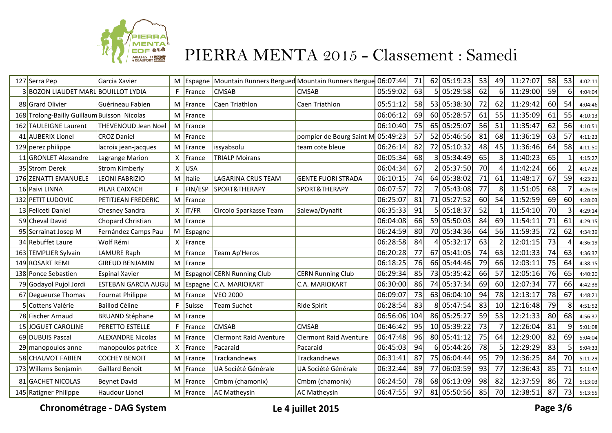

| 127 Serra Pep                               | Garcia Xavier              |              | $M$ Espagne   | Mountain Runners Bergued Mountain Runners Bergue |                               | 06:07:44 | 71  |                 | 62 05:19:23 | 53 | 49              | 11:27:07 | 58 | 53 | 4:02:11 |
|---------------------------------------------|----------------------------|--------------|---------------|--------------------------------------------------|-------------------------------|----------|-----|-----------------|-------------|----|-----------------|----------|----|----|---------|
| 3 BOZON LIAUDET MARL BOUILLOT LYDIA         |                            | F.           | France        | <b>CMSAB</b>                                     | <b>CMSAB</b>                  | 05:59:02 | 63  |                 | 05:29:58    | 62 | 6 <sup>1</sup>  | 11:29:00 | 59 | 6  | 4:04:04 |
| 88 Grard Olivier                            | Guérineau Fabien           | М            | <b>France</b> | Caen Triathlon                                   | Caen Triathlon                | 05:51:12 | 58  |                 | 53 05:38:30 | 72 | 62              | 11:29:42 | 60 | 54 | 4:04:46 |
| 168 Trolong-Bailly Guillaum Buisson Nicolas |                            |              | M France      |                                                  |                               | 06:06:12 | 69  |                 | 60 05:28:57 | 61 | 55 <sub>1</sub> | 11:35:09 | 61 | 55 | 4:10:13 |
| 162 TAULEIGNE Laurent                       | <b>THEVENOUD Jean Noel</b> |              | M France      |                                                  |                               | 06:10:40 | 75  |                 | 65 05:25:07 | 56 | 51              | 11:35:47 | 62 | 56 | 4:10:51 |
| 41 AUBERIX Lionel                           | <b>CROZ Daniel</b>         |              | M France      |                                                  | pompier de Bourg Saint M      | 05:49:23 | 57  |                 | 52 05:46:56 | 81 | 68              | 11:36:19 | 63 | 57 | 4:11:23 |
| 129 perez philippe                          | lacroix jean-jacques       | М            | France        | issyabsolu                                       | team cote bleue               | 06:26:14 | 82  |                 | 72 05:10:32 | 48 | 45              | 11:36:46 | 64 | 58 | 4:11:50 |
| 11 GRONLET Alexandre                        | Lagrange Marion            | X.           | France        | <b>TRIALP Moirans</b>                            |                               | 06:05:34 | 68  |                 | 05:34:49    | 65 |                 | 11:40:23 | 65 |    | 4:15:27 |
| 35 Strom Derek                              | <b>Strom Kimberly</b>      | X.           | USA           |                                                  |                               | 06:04:34 | 67  |                 | 05:37:50    | 70 |                 | 11:42:24 | 66 |    | 4:17:28 |
| 176 ZENATTI EMANUELE                        | <b>LEONI FABRIZIO</b>      |              | M Italie      | <b>LAGARINA CRUS TEAM</b>                        | <b>GENTE FUORI STRADA</b>     | 06:10:15 | 74  |                 | 64 05:38:02 | 71 | 61              | 11:48:17 | 67 | 59 | 4:23:21 |
| 16 Paivi LINNA                              | PILAR CAIXACH              | F.           | FIN/ESP       | <b>SPORT&amp;THERAPY</b>                         | SPORT&THERAPY                 | 06:07:57 | 72  |                 | 05:43:08    | 77 | 8 <sup>1</sup>  | 11:51:05 | 68 |    | 4:26:09 |
| 132 PETIT LUDOVIC                           | PETITJEAN FREDERIC         |              | M France      |                                                  |                               | 06:25:07 | 81  | 71              | 05:27:52    | 60 | 54              | 11:52:59 | 69 | 60 | 4:28:03 |
| 13 Feliceti Daniel                          | Chesney Sandra             |              | $X$ IT/FR     | Circolo Sparkasse Team                           | Salewa/Dynafit                | 06:35:33 | 91  |                 | 05:18:37    | 52 |                 | 11:54:10 | 70 |    | 4:29:14 |
| 59 Cheval David                             | Chopard Christian          |              | M France      |                                                  |                               | 06:04:08 | 66  |                 | 59 05:50:03 | 84 | 69              | 11:54:11 | 71 | 61 | 4:29:15 |
| 95 Serrainat Josep M                        | Fernández Camps Pau        |              | M Espagne     |                                                  |                               | 06:24:59 | 80  |                 | 70 05:34:36 | 64 | <b>56</b>       | 11:59:35 | 72 | 62 | 4:34:39 |
| 34 Rebuffet Laure                           | Wolf Rémi                  | $\mathsf{X}$ | France        |                                                  |                               | 06:28:58 | 84  |                 | 05:32:17    | 63 | $\overline{2}$  | 12:01:15 | 73 |    | 4:36:19 |
| 163 TEMPLIER Sylvain                        | <b>LAMURE Raph</b>         |              | M France      | Team Ap'Heros                                    |                               | 06:20:28 | 77  |                 | 67 05:41:05 | 74 | 63              | 12:01:33 | 74 | 63 | 4:36:37 |
| 149 ROSART REMI                             | <b>GIREUD BENJAMIN</b>     |              | M France      |                                                  |                               | 06:18:25 | 76  |                 | 66 05:44:46 | 79 | 66              | 12:03:11 | 75 | 64 | 4:38:15 |
| 138 Ponce Sebastien                         | <b>Espinal Xavier</b>      |              |               | M Espagnol CERN Running Club                     | <b>CERN Running Club</b>      | 06:29:34 | 85  |                 | 73 05:35:42 | 66 | 57              | 12:05:16 | 76 | 65 | 4:40:20 |
| 79 Godayol Pujol Jordi                      | <b>ESTEBAN GARCIA AUGU</b> |              |               | M Espagne C.A. MARIOKART                         | C.A. MARIOKART                | 06:30:00 | 86  |                 | 74 05:37:34 | 69 | 60              | 12:07:34 | 77 | 66 | 4:42:38 |
| 67 Degueurse Thomas                         | Fournat Philippe           |              | M France      | <b>VEO 2000</b>                                  |                               | 06:09:07 | 73  |                 | 63 06:04:10 | 94 | 78              | 12:13:17 | 78 | 67 | 4:48:21 |
| 5 Cottens Valérie                           | <b>Baillod Céline</b>      | F            | Suisse        | Team Suchet                                      | Ride Spirit                   | 06:28:54 | 83  | 81              | 05:47:54    | 83 | 10 <sup>1</sup> | 12:16:48 | 79 |    | 4:51:52 |
| 78 Fischer Arnaud                           | <b>BRUAND Stéphane</b>     |              | M France      |                                                  |                               | 06:56:06 | 104 |                 | 86 05:25:27 | 59 | 53              | 12:21:33 | 80 | 68 | 4:56:37 |
| 15 JOGUET CAROLINE                          | <b>PERETTO ESTELLE</b>     | F.           | France        | <b>CMSAB</b>                                     | <b>CMSAB</b>                  | 06:46:42 | 95  | 10 <sup>1</sup> | 05:39:22    | 73 |                 | 12:26:04 | 81 |    | 5:01:08 |
| 69 DUBUIS Pascal                            | <b>ALEXANDRE Nicolas</b>   |              | M France      | <b>Clermont Raid Aventure</b>                    | <b>Clermont Raid Aventure</b> | 06:47:48 | 96  | 80 <sup>1</sup> | 05:41:12    | 75 | 64              | 12:29:00 | 82 | 69 | 5:04:04 |
| 29 manopoulos anne                          | manopoulos patrice         | X.           | France        | Pacaraid                                         | Pacaraid                      | 06:45:03 | 94  | 6               | 05:44:26    | 78 |                 | 12:29:29 | 83 |    | 5:04:33 |
| 58 CHAUVOT FABIEN                           | <b>COCHEY BENOIT</b>       |              | M France      | Trackandnews                                     | Trackandnews                  | 06:31:41 | 87  | 75              | 06:04:44    | 95 | 79              | 12:36:25 | 84 | 70 | 5:11:29 |
| 173 Willems Benjamin                        | Gaillard Benoit            |              | M France      | UA Société Générale                              | UA Société Générale           | 06:32:44 | 89  | 77              | 06:03:59    | 93 | 77              | 12:36:43 | 85 | 71 | 5:11:47 |
| 81 GACHET NICOLAS                           | <b>Beynet David</b>        |              | M France      | Cmbm (chamonix)                                  | Cmbm (chamonix)               | 06:24:50 | 78  |                 | 68 06:13:09 | 98 | 82              | 12:37:59 | 86 | 72 | 5:13:03 |
| 145 Ratigner Philippe                       | <b>Haudour Lionel</b>      |              | M France      | <b>AC Matheysin</b>                              | <b>AC Matheysin</b>           | 06:47:55 | 97  |                 | 81 05:50:56 | 85 | 70              | 12:38:51 | 87 | 73 | 5:13:55 |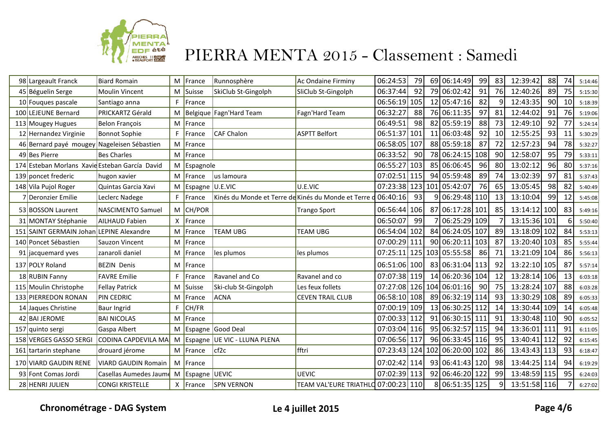

| 98 Largeault Franck                            | <b>Biard Romain</b>        |    | M France    | Runnosphère                                          | <b>Ac Ondaine Firminy</b>           | 06:24:53     | 79              | 69 06:14:49                   | 99              | 83              | 12:39:42     | 88  | 74 | 5:14:46 |
|------------------------------------------------|----------------------------|----|-------------|------------------------------------------------------|-------------------------------------|--------------|-----------------|-------------------------------|-----------------|-----------------|--------------|-----|----|---------|
| 45 Béguelin Serge                              | <b>Moulin Vincent</b>      |    | M Suisse    | SkiClub St-Gingolph                                  | SliClub St-Gingolph                 | 06:37:44     | 92              | 79 06:02:42                   | 91              | <b>76</b>       | 12:40:26     | 89  | 75 | 5:15:30 |
| 10 Fouques pascale                             | Santiago anna              | F. | France      |                                                      |                                     | 06:56:19     | 105             | 12 05:47:16                   | 82              | $\mathsf{q}$    | 12:43:35     | 90  | 10 | 5:18:39 |
| 100 LEJEUNE Bernard                            | PRICKARTZ Gérald           |    |             | M Belgique Fagn'Hard Team                            | Fagn'Hard Team                      | 06:32:27     | 88              | 76 06:11:35                   | 97              | 81              | 12:44:02     | 91  | 76 | 5:19:06 |
| 113 Mougey Hugues                              | Belon François             |    | M France    |                                                      |                                     | 06:49:51     | 98              | 82 05:59:19                   | 88              | 73              | 12:49:10     | 92  | 77 | 5:24:14 |
| 12 Hernandez Virginie                          | <b>Bonnot Sophie</b>       | F. | France      | <b>CAF Chalon</b>                                    | <b>ASPTT Belfort</b>                | 06:51:37 101 |                 | 11 06:03:48                   | 92              | 10 <sup>1</sup> | 12:55:25     | 93  | 11 | 5:30:29 |
| 46 Bernard payé mougey Nageleisen Sébastien    |                            |    | M France    |                                                      |                                     | 06:58:05     | 107             | 88 05:59:18                   | 87              | 72              | 12:57:23     | 94  | 78 | 5:32:27 |
| 49 Bes Pierre                                  | <b>Bes Charles</b>         |    | M France    |                                                      |                                     | 06:33:52     | 90 <sub>l</sub> | 78 06:24:15 108               |                 | 90I             | 12:58:07     | 95  | 79 | 5:33:11 |
| 174 Esteban Morlans Xavie Esteban García David |                            |    | M Espagnole |                                                      |                                     | 06:55:27     | 103             | 85 06:06:45                   | 96              | 80I             | 13:02:12     | 96  | 80 | 5:37:16 |
| 139 poncet frederic                            | hugon xavier               |    | M France    | us lamoura                                           |                                     | 07:02:51 115 |                 | 94 05:59:48                   | 89              | 74              | 13:02:39     | 97  | 81 | 5:37:43 |
| 148 Vila Pujol Roger                           | Quintas Garcia Xavi        | M  | Espagne     | U.E.VIC                                              | U.E.VIC                             | 07:23:38     |                 | 123 101 05:42:07              | 76              | 65              | 13:05:45     | 98  | 82 | 5:40:49 |
| 7Deronzier Emilie                              | Leclerc Nadege             | F. | France      | Kinés du Monde et Terre de Kinés du Monde et Terre d |                                     | 06:40:16     | 93              | 9 06:29:48 110                |                 | 13              | 13:10:04     | 99  | 12 | 5:45:08 |
| 53 BOSSON Laurent                              | <b>NASCIMENTO Samuel</b>   |    | M CH/POR    |                                                      | <b>Trango Sport</b>                 | 06:56:44 106 |                 | 87 06:17:28 101               |                 | 85              | 13:14:12     | 100 | 83 | 5:49:16 |
| 31 MONTAY Stéphanie                            | <b>AILHAUD Fabien</b>      |    | X France    |                                                      |                                     | 06:50:07     | 99              | 7 06:25:29 109                |                 |                 | 13:15:36 101 |     | 6  | 5:50:40 |
| 151 SAINT GERMAIN Johan LEPINE Alexandre       |                            |    | M France    | <b>TEAM UBG</b>                                      | TEAM UBG                            | 06:54:04 102 |                 | 84 06:24:05 107               |                 | 89              | 13:18:09 102 |     | 84 | 5:53:13 |
| 140 Poncet Sébastien                           | Sauzon Vincent             | м  | France      |                                                      |                                     | 07:00:29     | 111             | 90 06:20:11 103               |                 | 87              | 13:20:40 103 |     | 85 | 5:55:44 |
| jacquemard yves                                | zanaroli daniel            |    | M   France  | les plumos                                           | les plumos                          | 07:25:11     |                 | 125 103 05:55:58              | 86              |                 | 13:21:09 104 |     | 86 | 5:56:13 |
| 137 POLY Roland                                | <b>BEZIN Denis</b>         |    | M France    |                                                      |                                     | 06:51:06 100 |                 | 83 06:31:04 113               |                 | 92              | 13:22:10 105 |     | 87 | 5:57:14 |
| 18 RUBIN Fanny                                 | <b>FAVRE</b> Emilie        | F  | France      | Ravanel and Co                                       | Ravanel and co                      | 07:07:38 119 |                 | 14 06:20:36 104               |                 | 12              | 13:28:14 106 |     | 13 | 6:03:18 |
| 115 Moulin Christophe                          | <b>Fellay Patrick</b>      |    | M Suisse    | Ski-club St-Gingolph                                 | Les feux follets                    |              |                 | 07:27:08 126 104 06:01:16     | 90 <sup>1</sup> | <b>75</b>       | 13:28:24 107 |     | 88 | 6:03:28 |
| 133 PIERREDON RONAN                            | PIN CEDRIC                 |    | M France    | <b>ACNA</b>                                          | <b>CEVEN TRAIL CLUB</b>             | 06:58:10 108 |                 | 89 06:32:19 114               |                 | 93              | 13:30:29 108 |     | 89 | 6:05:33 |
| 14 Jaques Christine                            | <b>Baur Ingrid</b>         | F. | CH/FR       |                                                      |                                     | 07:00:19 109 |                 | 13 06:30:25 112               |                 | 14              | 13:30:44 109 |     | 14 | 6:05:48 |
| 42 BAI JEROME                                  | <b>BAI NICOLAS</b>         |    | M France    |                                                      |                                     | 07:00:33 112 |                 | 91 06:30:15 111               |                 | 91              | 13:30:48 110 |     | 90 | 6:05:52 |
| 157 quinto sergi                               | Gaspa Albert               |    |             | M Espagne Good Deal                                  |                                     | 07:03:04 116 |                 | 95 06:32:57 115               |                 | 94              | 13:36:01 111 |     | 91 | 6:11:05 |
| 158 VERGES GASSO SERGI                         | CODINA CAPDEVILA MA        |    |             | M Espagne UE VIC - LLUNA PLENA                       |                                     | 07:06:56 117 |                 | 96 06:33:45 116               |                 | 95              | 13:40:41 112 |     | 92 | 6:15:45 |
| 161 tartarin stephane                          | drouard jérome             |    | M France    | $ $ cf2c                                             | fftri                               |              |                 | 07:23:43 124 102 06:20:00 102 |                 | 86              | 13:43:43 113 |     | 93 | 6:18:47 |
| 170 VIARD GAUDIN RENE                          | <b>VIARD GAUDIN Romain</b> |    | M France    |                                                      |                                     | 07:02:42 114 |                 | 93 06:41:43 120               |                 | 98I             | 13:44:25 114 |     | 94 | 6:19:29 |
| 93 Font Comas Jordi                            | Casellas Aumedes Jaume     |    | M Espagne   | <b>UEVIC</b>                                         | UEVIC                               | 07:02:39 113 |                 | 92 06:46:20 122               |                 | 99              | 13:48:59 115 |     | 95 | 6:24:03 |
| 28 HENRI JULIEN                                | <b>CONGI KRISTELLE</b>     |    | $X$ France  | <b>SPN VERNON</b>                                    | TEAM VAL'EURE TRIATHLO 07:00:23 110 |              |                 | 8 06:51:35 125                |                 | 9 <sub>1</sub>  | 13:51:58 116 |     |    | 6:27:02 |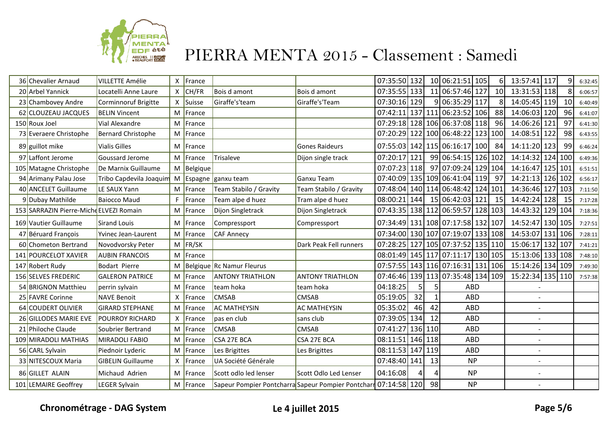

| 36 Chevalier Arnaud                     | <b>VILLETTE Amélie</b>    | X          | France   |                                                                 |                         | 07:35:50 132     |    |    | 10 06:21:51 105                   | 61              | 13:57:41 117     |    | 6:32:45 |
|-----------------------------------------|---------------------------|------------|----------|-----------------------------------------------------------------|-------------------------|------------------|----|----|-----------------------------------|-----------------|------------------|----|---------|
| 20 Arbel Yannick                        | Locatelli Anne Laure      | X          | CH/FR    | Bois d amont                                                    | Bois d amont            | 07:35:55 133     |    |    | 11 06:57:46 127                   | 10 <sup>1</sup> | 13:31:53 118     |    | 6:06:57 |
| 23 Chambovey Andre                      | Corminnoruf Brigitte      | $\times$ 1 | Suisse   | Giraffe's'team                                                  | Giraffe's'Team          | 07:30:16 129     |    |    | 9 06:35:29 117                    | 8 <sup>1</sup>  | 14:05:45 119     | 10 | 6:40:49 |
| 62 CLOUZEAU JACQUES                     | <b>BELIN Vincent</b>      | М          | France   |                                                                 |                         |                  |    |    | 07:42:11 137 111 06:23:52 106     | 88              | 14:06:03 120     | 96 | 6:41:07 |
| 150 Roux Joel                           | Vial Alexandre            | M          | France   |                                                                 |                         |                  |    |    | 07:29:18 128 106 06:37:08 118     | 96              | 14:06:26 121     | 97 | 6:41:30 |
| 73 Everaere Christophe                  | <b>Bernard Christophe</b> | м          | France   |                                                                 |                         |                  |    |    | 07:20:29 122 100 06:48:22 123 100 |                 | 14:08:51 122     | 98 | 6:43:55 |
| 89 guillot mike                         | <b>Vialis Gilles</b>      | м          | France   |                                                                 | <b>Gones Raideurs</b>   |                  |    |    | 07:55:03 142 115 06:16:17 100     | 84              | 14:11:20 123     | 99 | 6:46:24 |
| 97 Laffont Jerome                       | Goussard Jerome           | M          | France   | Trisaleve                                                       | Dijon single track      | 07:20:17 121     |    |    | 99 06:54:15 126 102               |                 | 14:14:32 124 100 |    | 6:49:36 |
| 105 Matagne Christophe                  | De Marnix Guillaume       | $M \mid$   | Belgique |                                                                 |                         | 07:07:23 118     |    |    | 97 07:09:24 129 104               |                 | 14:16:47 125 101 |    | 6:51:51 |
| 94 Arimany Palau Jose                   | Tribo Capdevila Joaquim   | M          |          | Espagne   ganxu team                                            | Ganxu Team              |                  |    |    | 07:40:09 135 109 06:41:04 119     | 97              | 14:21:13 126 102 |    | 6:56:17 |
| 40 ANCELET Guillaume                    | LE SAUX Yann              | M          | France   | Team Stabilo / Gravity                                          | Team Stabilo / Gravity  |                  |    |    | 07:48:04 140 114 06:48:42 124 101 |                 | 14:36:46 127 103 |    | 7:11:50 |
| 9 Dubay Mathilde                        | <b>Baiocco Maud</b>       | F.         | France   | Team alpe d huez                                                | Tram alpe d huez        | 08:00:21 144     |    |    | 15 06:42:03 121                   | 15              | 14:42:24 128     | 15 | 7:17:28 |
| 153 SARRAZIN Pierre-Miche ELVEZI Romain |                           | M          | France   | Dijon Singletrack                                               | Dijon Singletrack       |                  |    |    | 07:43:35 138 112 06:59:57 128 103 |                 | 14:43:32 129 104 |    | 7:18:36 |
| 169 Vautier Guillaume                   | <b>Sirand Louis</b>       | М          | France   | Compressport                                                    | Compressport            |                  |    |    | 07:34:49 131 108 07:17:58 132 107 |                 | 14:52:47 130 105 |    | 7:27:51 |
| 47 Béruard François                     | Yvinec Jean-Laurent       | M          | France   | <b>CAF Annecy</b>                                               |                         |                  |    |    | 07:34:00 130 107 07:19:07 133 108 |                 | 14:53:07 131 106 |    | 7:28:11 |
| 60 Chometon Bertrand                    | Novodvorsky Peter         | M          | FR/SK    |                                                                 | Dark Peak Fell runners  |                  |    |    | 07:28:25 127 105 07:37:52 135 110 |                 | 15:06:17 132 107 |    | 7:41:21 |
| 141 POURCELOT XAVIER                    | <b>AUBIN FRANCOIS</b>     | M          | France   |                                                                 |                         |                  |    |    | 08:01:49 145 117 07:11:17 130 105 |                 | 15:13:06 133 108 |    | 7:48:10 |
| 147 Robert Rudy                         | Bodart Pierre             | M          |          | Belgique Rc Namur Fleurus                                       |                         |                  |    |    | 07:57:55 143 116 07:16:31 131 106 |                 | 15:14:26 134 109 |    | 7:49:30 |
| 156 SELVES FREDERIC                     | <b>GALERON PATRICE</b>    | M          | France   | <b>ANTONY TRIATHLON</b>                                         | <b>ANTONY TRIATHLON</b> |                  |    |    | 07:46:46 139 113 07:35:48 134 109 |                 | 15:22:34 135 110 |    | 7:57:38 |
| 54 BRIGNON Matthieu                     | perrin sylvain            | M          | France   | team hoka                                                       | team hoka               | 04:18:25         |    | 5  | ABD                               |                 |                  |    |         |
| 25 FAVRE Corinne                        | <b>NAVE Benoit</b>        | X          | France   | <b>CMSAB</b>                                                    | <b>CMSAB</b>            | 05:19:05         | 32 | 1  | ABD                               |                 |                  |    |         |
| 64 COUDERT OLIVIER                      | <b>GIRARD STEPHANE</b>    | M          | France   | <b>AC MATHEYSIN</b>                                             | <b>AC MATHEYSIN</b>     | 05:35:02         | 46 | 42 | <b>ABD</b>                        |                 |                  |    |         |
| 26 GILLODES MARIE EVE                   | <b>POURROY RICHARD</b>    | X          | France   | pas en club                                                     | sans club               | 07:39:05 134     |    | 12 | ABD                               |                 |                  |    |         |
| 21 Philoche Claude                      | Soubrier Bertrand         | M          | France   | <b>CMSAB</b>                                                    | <b>CMSAB</b>            | 07:41:27 136 110 |    |    | <b>ABD</b>                        |                 | $\overline{a}$   |    |         |
| 109 MIRADOLI MATHIAS                    | <b>MIRADOLI FABIO</b>     | M          | France   | CSA 27E BCA                                                     | CSA 27E BCA             | 08:11:51 146 118 |    |    | <b>ABD</b>                        |                 | $\overline{a}$   |    |         |
| 56 CARL Sylvain                         | Piednoir Lyderic          | M          | France   | Les Brigittes                                                   | Les Brigittes           | 08:11:53 147 119 |    |    | <b>ABD</b>                        |                 |                  |    |         |
| 33 NITESCOUX Maria                      | <b>GIBELIN Guillaume</b>  | X          | France   | UA Société Générale                                             |                         | 07:48:40 141     |    | 13 | <b>NP</b>                         |                 | $\overline{a}$   |    |         |
| 86 GILLET ALAIN                         | Michaud Adrien            | М          | France   | Scott odlo led lenser                                           | Scott Odlo Led Lenser   | 04:16:08         |    | 4  | <b>NP</b>                         |                 |                  |    |         |
| 101 LEMAIRE Geoffrey                    | <b>LEGER Sylvain</b>      | M          | France   | Sapeur Pompier Pontcharra Sapeur Pompier Pontcharm 07:14:58 120 |                         |                  |    | 98 | <b>NP</b>                         |                 |                  |    |         |